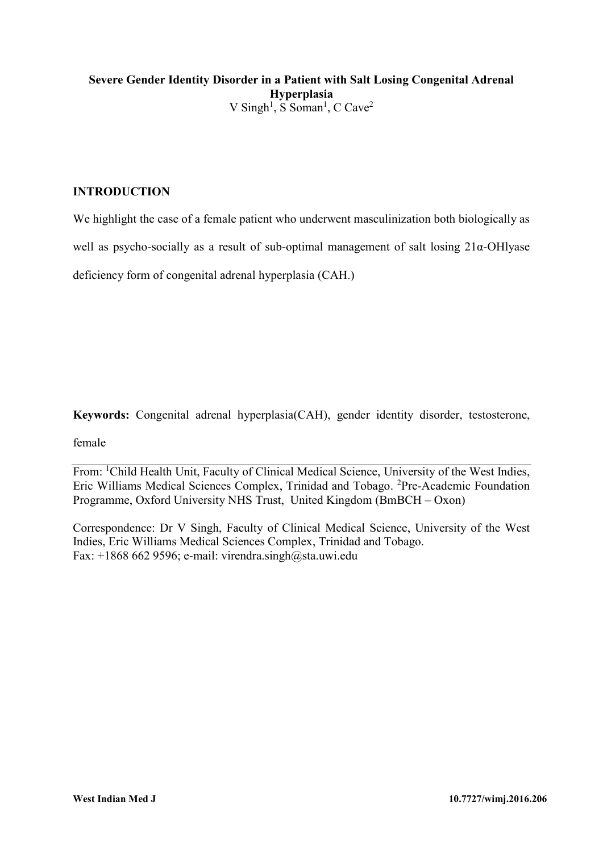# **Severe Gender Identity Disorder in a Patient with Salt Losing Congenital Adrenal Hyperplasia**  V Singh<sup>1</sup>, S Soman<sup>1</sup>, C Cave<sup>2</sup>

## **INTRODUCTION**

We highlight the case of a female patient who underwent masculinization both biologically as

well as psycho-socially as a result of sub-optimal management of salt losing 21α-OHlyase

deficiency form of congenital adrenal hyperplasia (CAH.)

**Keywords:** Congenital adrenal hyperplasia(CAH), gender identity disorder, testosterone,

female

From: <sup>1</sup>Child Health Unit, Faculty of Clinical Medical Science, University of the West Indies, Eric Williams Medical Sciences Complex, Trinidad and Tobago. <sup>2</sup>Pre-Academic Foundation Programme, Oxford University NHS Trust, United Kingdom (BmBCH – Oxon)

Correspondence: Dr V Singh, Faculty of Clinical Medical Science, University of the West Indies, Eric Williams Medical Sciences Complex, Trinidad and Tobago. Fax:  $+18686629596$ ; e-mail: [virendra.singh@sta.uwi.edu](mailto:virendra.singh@sta.uwi.edu)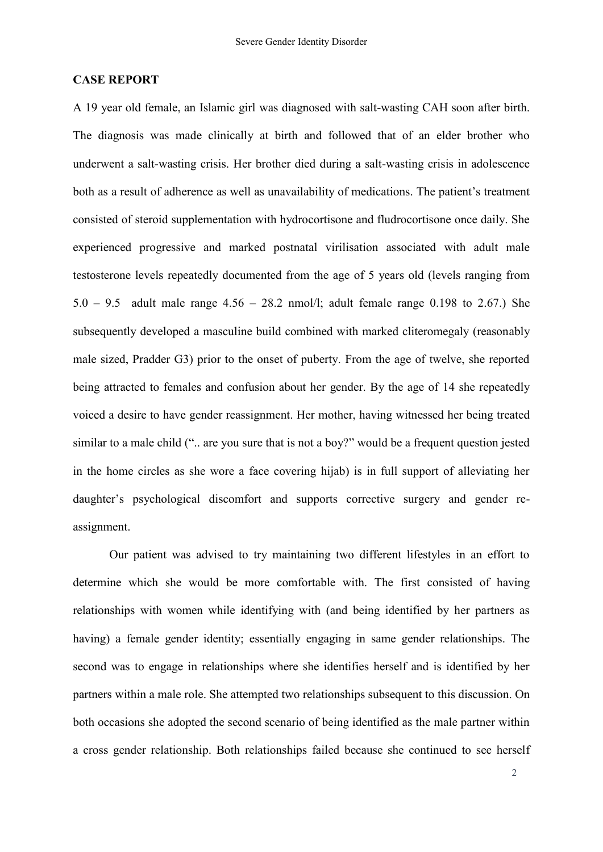### **CASE REPORT**

A 19 year old female, an Islamic girl was diagnosed with salt-wasting CAH soon after birth. The diagnosis was made clinically at birth and followed that of an elder brother who underwent a salt-wasting crisis. Her brother died during a salt-wasting crisis in adolescence both as a result of adherence as well as unavailability of medications. The patient's treatment consisted of steroid supplementation with hydrocortisone and fludrocortisone once daily. She experienced progressive and marked postnatal virilisation associated with adult male testosterone levels repeatedly documented from the age of 5 years old (levels ranging from 5.0 – 9.5 adult male range  $4.56 - 28.2$  nmol/l; adult female range 0.198 to 2.67.) She subsequently developed a masculine build combined with marked cliteromegaly (reasonably male sized, Pradder G3) prior to the onset of puberty. From the age of twelve, she reported being attracted to females and confusion about her gender. By the age of 14 she repeatedly voiced a desire to have gender reassignment. Her mother, having witnessed her being treated similar to a male child (".. are you sure that is not a boy?" would be a frequent question jested in the home circles as she wore a face covering hijab) is in full support of alleviating her daughter's psychological discomfort and supports corrective surgery and gender reassignment.

Our patient was advised to try maintaining two different lifestyles in an effort to determine which she would be more comfortable with. The first consisted of having relationships with women while identifying with (and being identified by her partners as having) a female gender identity; essentially engaging in same gender relationships. The second was to engage in relationships where she identifies herself and is identified by her partners within a male role. She attempted two relationships subsequent to this discussion. On both occasions she adopted the second scenario of being identified as the male partner within a cross gender relationship. Both relationships failed because she continued to see herself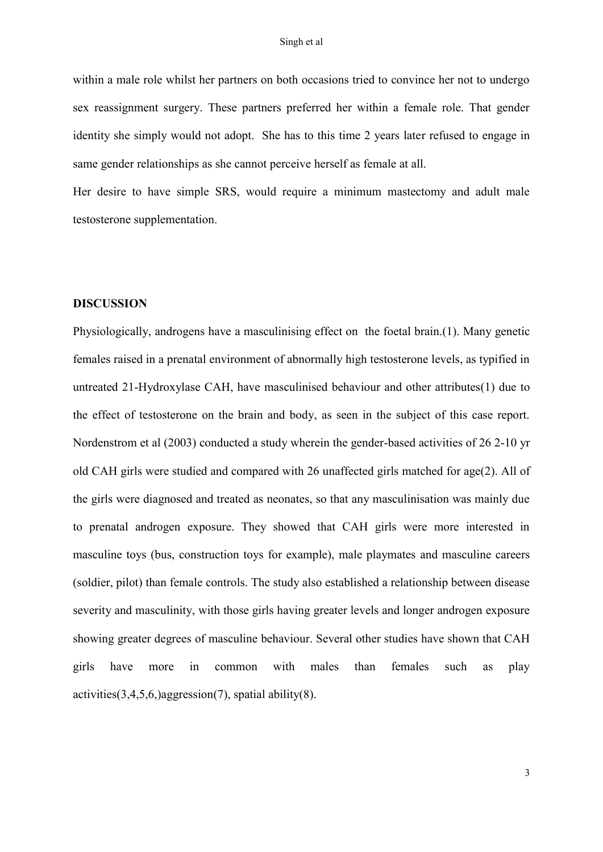within a male role whilst her partners on both occasions tried to convince her not to undergo sex reassignment surgery. These partners preferred her within a female role. That gender identity she simply would not adopt. She has to this time 2 years later refused to engage in same gender relationships as she cannot perceive herself as female at all.

Her desire to have simple SRS, would require a minimum mastectomy and adult male testosterone supplementation.

### **DISCUSSION**

Physiologically, androgens have a masculinising effect on the foetal brain.(1). Many genetic females raised in a prenatal environment of abnormally high testosterone levels, as typified in untreated 21-Hydroxylase CAH, have masculinised behaviour and other attributes(1) due to the effect of testosterone on the brain and body, as seen in the subject of this case report. Nordenstrom et al (2003) conducted a study wherein the gender-based activities of 26 2-10 yr old CAH girls were studied and compared with 26 unaffected girls matched for age(2). All of the girls were diagnosed and treated as neonates, so that any masculinisation was mainly due to prenatal androgen exposure. They showed that CAH girls were more interested in masculine toys (bus, construction toys for example), male playmates and masculine careers (soldier, pilot) than female controls. The study also established a relationship between disease severity and masculinity, with those girls having greater levels and longer androgen exposure showing greater degrees of masculine behaviour. Several other studies have shown that CAH girls have more in common with males than females such as play activities $(3,4,5,6)$ aggression $(7)$ , spatial ability $(8)$ .

3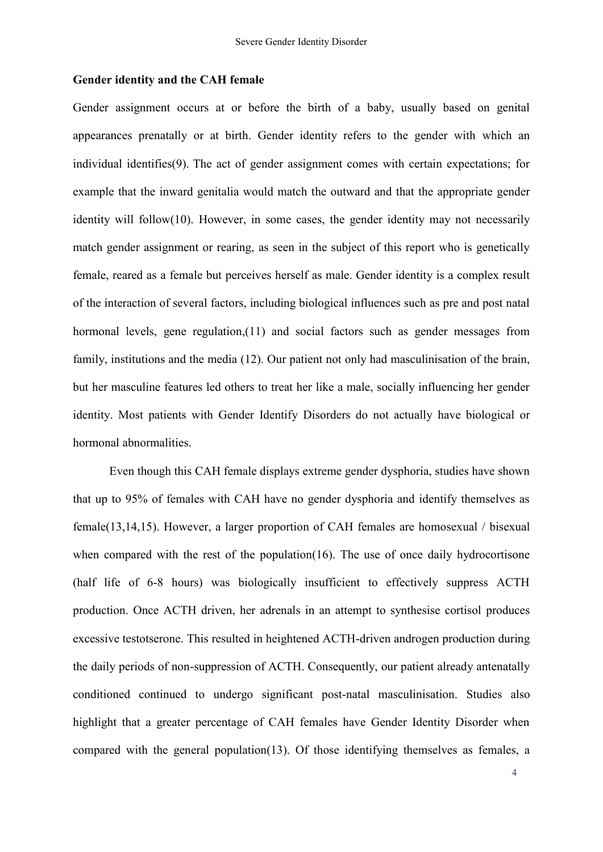### **Gender identity and the CAH female**

Gender assignment occurs at or before the birth of a baby, usually based on genital appearances prenatally or at birth. Gender identity refers to the gender with which an individual identifies(9). The act of gender assignment comes with certain expectations; for example that the inward genitalia would match the outward and that the appropriate gender identity will follow(10). However, in some cases, the gender identity may not necessarily match gender assignment or rearing, as seen in the subject of this report who is genetically female, reared as a female but perceives herself as male. Gender identity is a complex result of the interaction of several factors, including biological influences such as pre and post natal hormonal levels, gene regulation,(11) and social factors such as gender messages from family, institutions and the media (12). Our patient not only had masculinisation of the brain, but her masculine features led others to treat her like a male, socially influencing her gender identity. Most patients with Gender Identify Disorders do not actually have biological or hormonal abnormalities.

Even though this CAH female displays extreme gender dysphoria, studies have shown that up to 95% of females with CAH have no gender dysphoria and identify themselves as female(13,14,15). However, a larger proportion of CAH females are homosexual / bisexual when compared with the rest of the population(16). The use of once daily hydrocortisone (half life of 6-8 hours) was biologically insufficient to effectively suppress ACTH production. Once ACTH driven, her adrenals in an attempt to synthesise cortisol produces excessive testotserone. This resulted in heightened ACTH-driven androgen production during the daily periods of non-suppression of ACTH. Consequently, our patient already antenatally conditioned continued to undergo significant post-natal masculinisation. Studies also highlight that a greater percentage of CAH females have Gender Identity Disorder when compared with the general population(13). Of those identifying themselves as females, a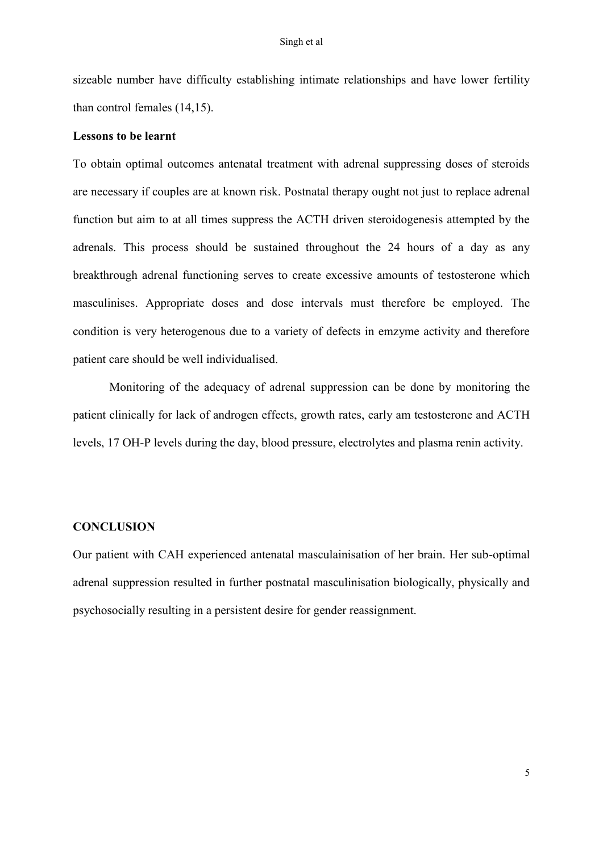sizeable number have difficulty establishing intimate relationships and have lower fertility than control females (14,15).

### **Lessons to be learnt**

To obtain optimal outcomes antenatal treatment with adrenal suppressing doses of steroids are necessary if couples are at known risk. Postnatal therapy ought not just to replace adrenal function but aim to at all times suppress the ACTH driven steroidogenesis attempted by the adrenals. This process should be sustained throughout the 24 hours of a day as any breakthrough adrenal functioning serves to create excessive amounts of testosterone which masculinises. Appropriate doses and dose intervals must therefore be employed. The condition is very heterogenous due to a variety of defects in emzyme activity and therefore patient care should be well individualised.

Monitoring of the adequacy of adrenal suppression can be done by monitoring the patient clinically for lack of androgen effects, growth rates, early am testosterone and ACTH levels, 17 OH-P levels during the day, blood pressure, electrolytes and plasma renin activity.

## **CONCLUSION**

Our patient with CAH experienced antenatal masculainisation of her brain. Her sub-optimal adrenal suppression resulted in further postnatal masculinisation biologically, physically and psychosocially resulting in a persistent desire for gender reassignment.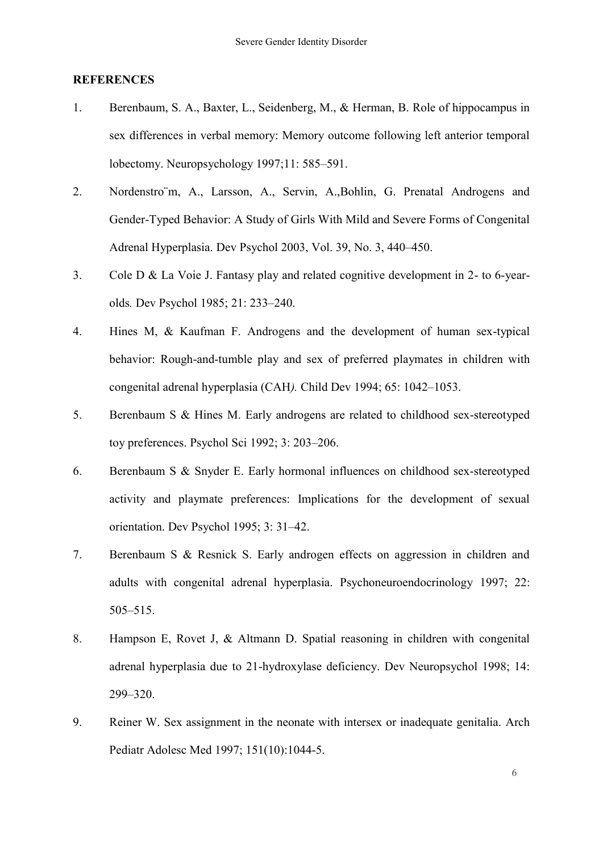### **REFERENCES**

- 1. Berenbaum, S. A., Baxter, L., Seidenberg, M., & Herman, B. Role of hippocampus in sex differences in verbal memory: Memory outcome following left anterior temporal lobectomy. Neuropsychology 1997;11: 585–591.
- 2. Nordenstro¨m, A., Larsson, A., Servin, A.,Bohlin, G. Prenatal Androgens and Gender-Typed Behavior: A Study of Girls With Mild and Severe Forms of Congenital Adrenal Hyperplasia. Dev Psychol 2003, Vol. 39, No. 3, 440–450.
- 3. Cole D & La Voie J. Fantasy play and related cognitive development in 2- to 6-yearolds*.* Dev Psychol 1985; 21: 233–240.
- 4. Hines M, & Kaufman F. Androgens and the development of human sex-typical behavior: Rough-and-tumble play and sex of preferred playmates in children with congenital adrenal hyperplasia (CAH*).* Child Dev 1994; 65: 1042–1053.
- 5. Berenbaum S & Hines M. Early androgens are related to childhood sex-stereotyped toy preferences. Psychol Sci 1992; 3: 203–206.
- 6. Berenbaum S & Snyder E. Early hormonal influences on childhood sex-stereotyped activity and playmate preferences: Implications for the development of sexual orientation. Dev Psychol 1995; 3: 31–42.
- 7. Berenbaum S & Resnick S. Early androgen effects on aggression in children and adults with congenital adrenal hyperplasia. Psychoneuroendocrinology 1997; 22: 505–515.
- 8. Hampson E, Rovet J, & Altmann D. Spatial reasoning in children with congenital adrenal hyperplasia due to 21-hydroxylase deficiency. Dev Neuropsychol 1998; 14: 299–320.
- 9. Reiner W. Sex assignment in the neonate with intersex or inadequate genitalia. [Arch](http://en.wikipedia.org/wiki/Archives_of_Pediatrics_and_Adolescent_Medicine)  [Pediatr Adolesc](http://en.wikipedia.org/wiki/Archives_of_Pediatrics_and_Adolescent_Medicine) Med 1997; 151(10):1044-5.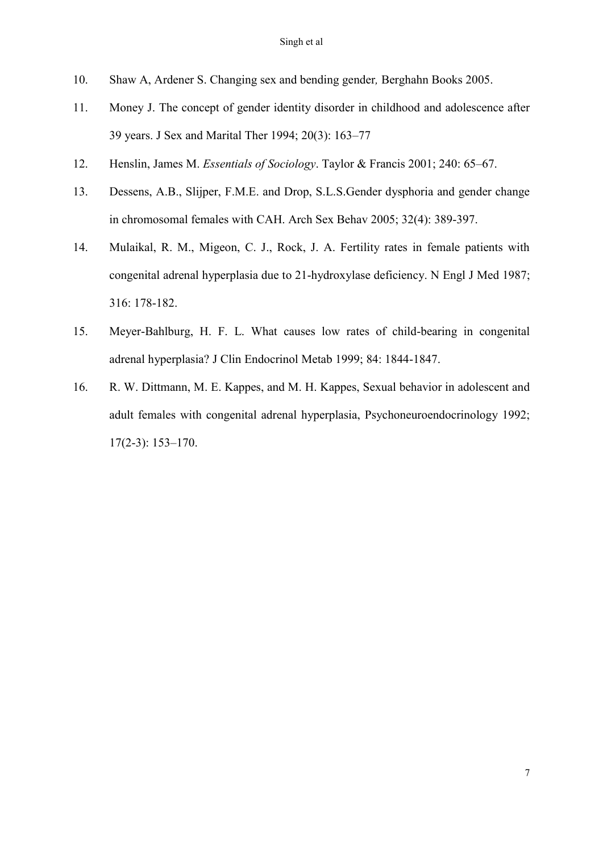- 10. Shaw A, Ardener S. Changing sex and bending gender*,* Berghahn Books 2005.
- 11. [Money J.](http://en.wikipedia.org/wiki/John_Money) The concept of gender identity disorder in childhood and adolescence after 39 years. J Sex and Marital Ther 1994; 20(3): 163–77
- 12. Henslin, James M. *Essentials of Sociology*. Taylor & Francis 2001; 240: 65–67.
- 13. Dessens, A.B., Slijper, F.M.E. and Drop, S.L.S.Gender dysphoria and gender change in chromosomal females with CAH. Arch Sex Behav 2005; 32(4): 389-397.
- 14. Mulaikal, R. M., Migeon, C. J., Rock, J. A. Fertility rates in female patients with congenital adrenal hyperplasia due to 21-hydroxylase deficiency. N Engl J Med 1987; 316: 178-182.
- 15. Meyer-Bahlburg, H. F. L. What causes low rates of child-bearing in congenital adrenal hyperplasia? J Clin Endocrinol Metab 1999; 84: 1844-1847.
- 16. R. W. Dittmann, M. E. Kappes, and M. H. Kappes, Sexual behavior in adolescent and adult females with congenital adrenal hyperplasia, Psychoneuroendocrinology 1992; 17(2-3): 153–170.